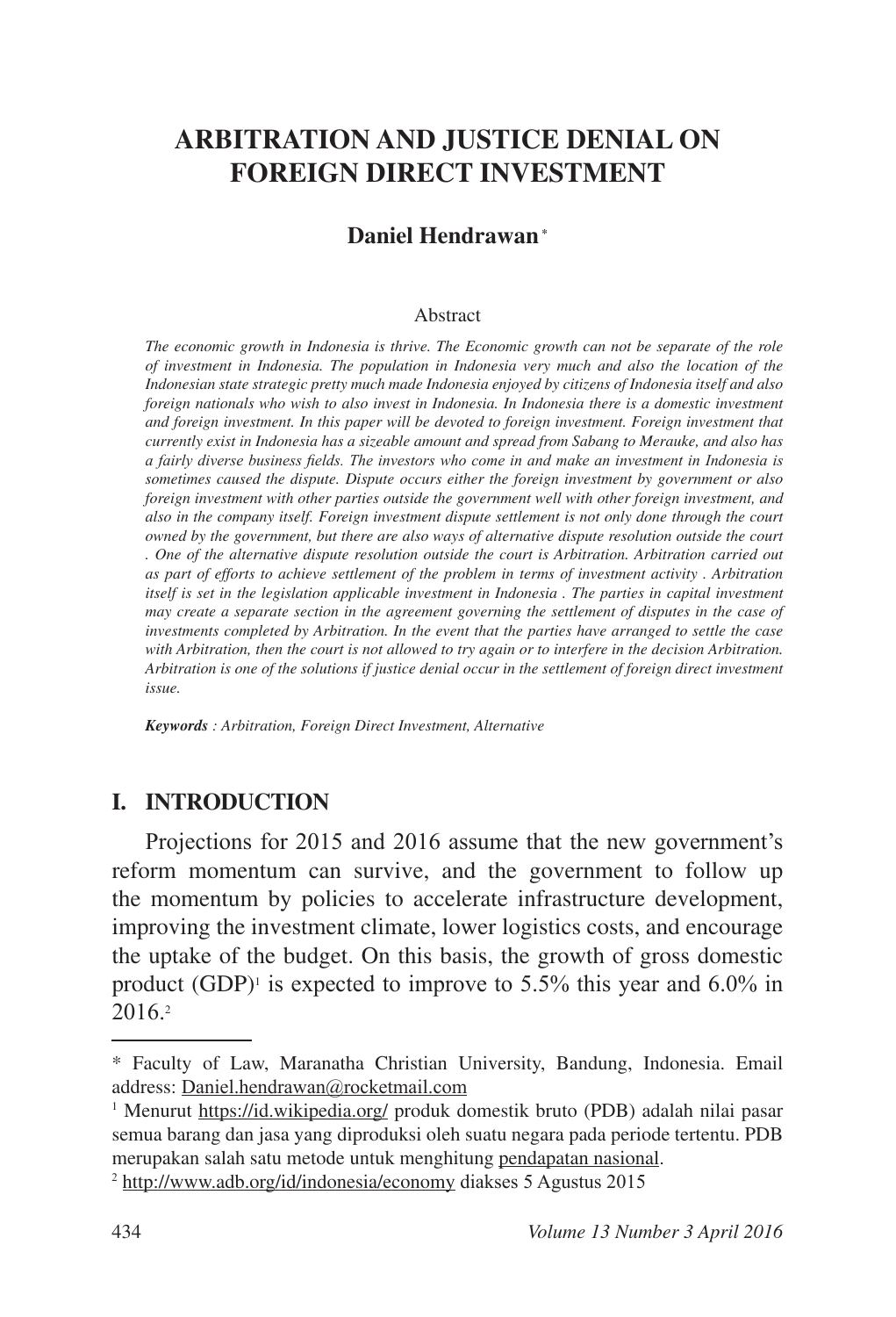# **ARBITRATION AND JUSTICE DENIAL ON FOREIGN DIRECT INVESTMENT**

### **Daniel Hendrawan \***

#### Abstract

*The economic growth in Indonesia is thrive. The Economic growth can not be separate of the role of investment in Indonesia. The population in Indonesia very much and also the location of the Indonesian state strategic pretty much made Indonesia enjoyed by citizens of Indonesia itself and also foreign nationals who wish to also invest in Indonesia. In Indonesia there is a domestic investment and foreign investment. In this paper will be devoted to foreign investment. Foreign investment that currently exist in Indonesia has a sizeable amount and spread from Sabang to Merauke, and also has a fairly diverse business fields. The investors who come in and make an investment in Indonesia is sometimes caused the dispute. Dispute occurs either the foreign investment by government or also foreign investment with other parties outside the government well with other foreign investment, and also in the company itself. Foreign investment dispute settlement is not only done through the court owned by the government, but there are also ways of alternative dispute resolution outside the court . One of the alternative dispute resolution outside the court is Arbitration. Arbitration carried out as part of efforts to achieve settlement of the problem in terms of investment activity . Arbitration itself is set in the legislation applicable investment in Indonesia . The parties in capital investment may create a separate section in the agreement governing the settlement of disputes in the case of investments completed by Arbitration. In the event that the parties have arranged to settle the case with Arbitration, then the court is not allowed to try again or to interfere in the decision Arbitration. Arbitration is one of the solutions if justice denial occur in the settlement of foreign direct investment issue.*

*Keywords : Arbitration, Foreign Direct Investment, Alternative*

#### **I. INTRODUCTION**

Projections for 2015 and 2016 assume that the new government's reform momentum can survive, and the government to follow up the momentum by policies to accelerate infrastructure development, improving the investment climate, lower logistics costs, and encourage the uptake of the budget. On this basis, the growth of gross domestic product (GDP)<sup>1</sup> is expected to improve to 5.5% this year and 6.0% in  $2016<sup>2</sup>$ 

<sup>\*</sup> Faculty of Law, Maranatha Christian University, Bandung, Indonesia. Email address: Daniel.hendrawan@rocketmail.com

<sup>&</sup>lt;sup>1</sup> Menurut https://id.wikipedia.org/ produk domestik bruto (PDB) adalah nilai pasar semua barang dan jasa yang diproduksi oleh suatu negara pada periode tertentu. PDB merupakan salah satu metode untuk menghitung pendapatan nasional.

<sup>&</sup>lt;sup>2</sup> http://www.adb.org/id/indonesia/economy diakses 5 Agustus 2015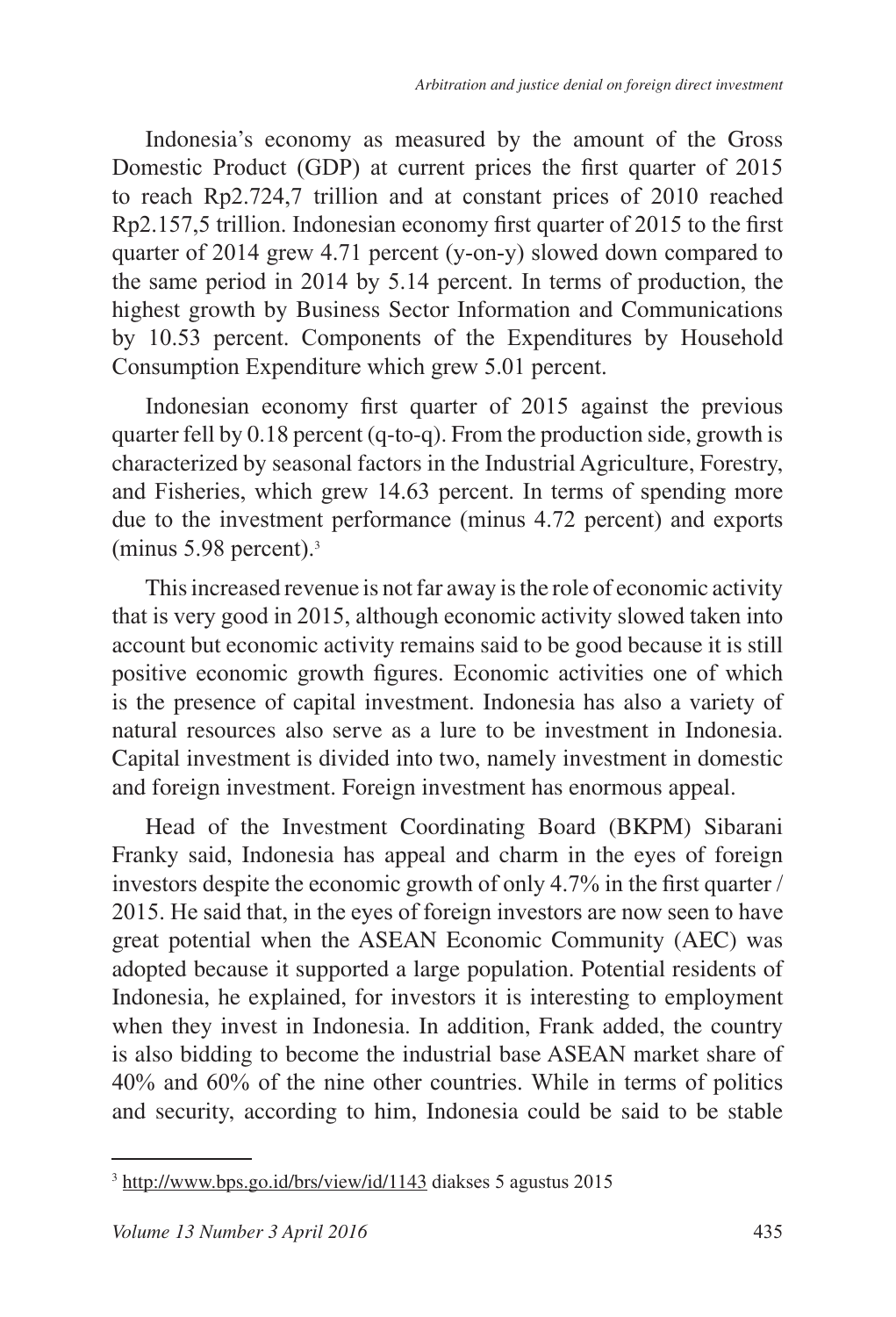Indonesia's economy as measured by the amount of the Gross Domestic Product (GDP) at current prices the first quarter of 2015 to reach  $Rp2.724,7$  trillion and at constant prices of  $2010$  reached  $Rp2.157.5$  trillion. Indonesian economy first quarter of 2015 to the first quarter of 2014 grew 4.71 percent (y-on-y) slowed down compared to the same period in 2014 by 5.14 percent. In terms of production, the highest growth by Business Sector Information and Communications by 10.53 percent. Components of the Expenditures by Household Consumption Expenditure which grew 5.01 percent.

Indonesian economy first quarter of 2015 against the previous quarter fell by 0.18 percent (q-to-q). From the production side, growth is characterized by seasonal factors in the Industrial Agriculture, Forestry, and Fisheries, which grew 14.63 percent. In terms of spending more due to the investment performance (minus 4.72 percent) and exports (minus  $5.98$  percent).<sup>3</sup>

This increased revenue is not far away is the role of economic activity that is very good in 2015, although economic activity slowed taken into account but economic activity remains said to be good because it is still positive economic growth figures. Economic activities one of which is the presence of capital investment. Indonesia has also a variety of natural resources also serve as a lure to be investment in Indonesia. Capital investment is divided into two, namely investment in domestic and foreign investment. Foreign investment has enormous appeal.

Head of the Investment Coordinating Board (BKPM) Sibarani Franky said, Indonesia has appeal and charm in the eyes of foreign investors despite the economic growth of only 4.7% in the first quarter  $\ell$ 2015. He said that, in the eyes of foreign investors are now seen to have great potential when the ASEAN Economic Community (AEC) was adopted because it supported a large population. Potential residents of Indonesia, he explained, for investors it is interesting to employment when they invest in Indonesia. In addition, Frank added, the country is also bidding to become the industrial base ASEAN market share of  $40\%$  and  $60\%$  of the nine other countries. While in terms of politics and security, according to him, Indonesia could be said to be stable

<sup>&</sup>lt;sup>3</sup> http://www.bps.go.id/brs/view/id/1143 diakses 5 agustus 2015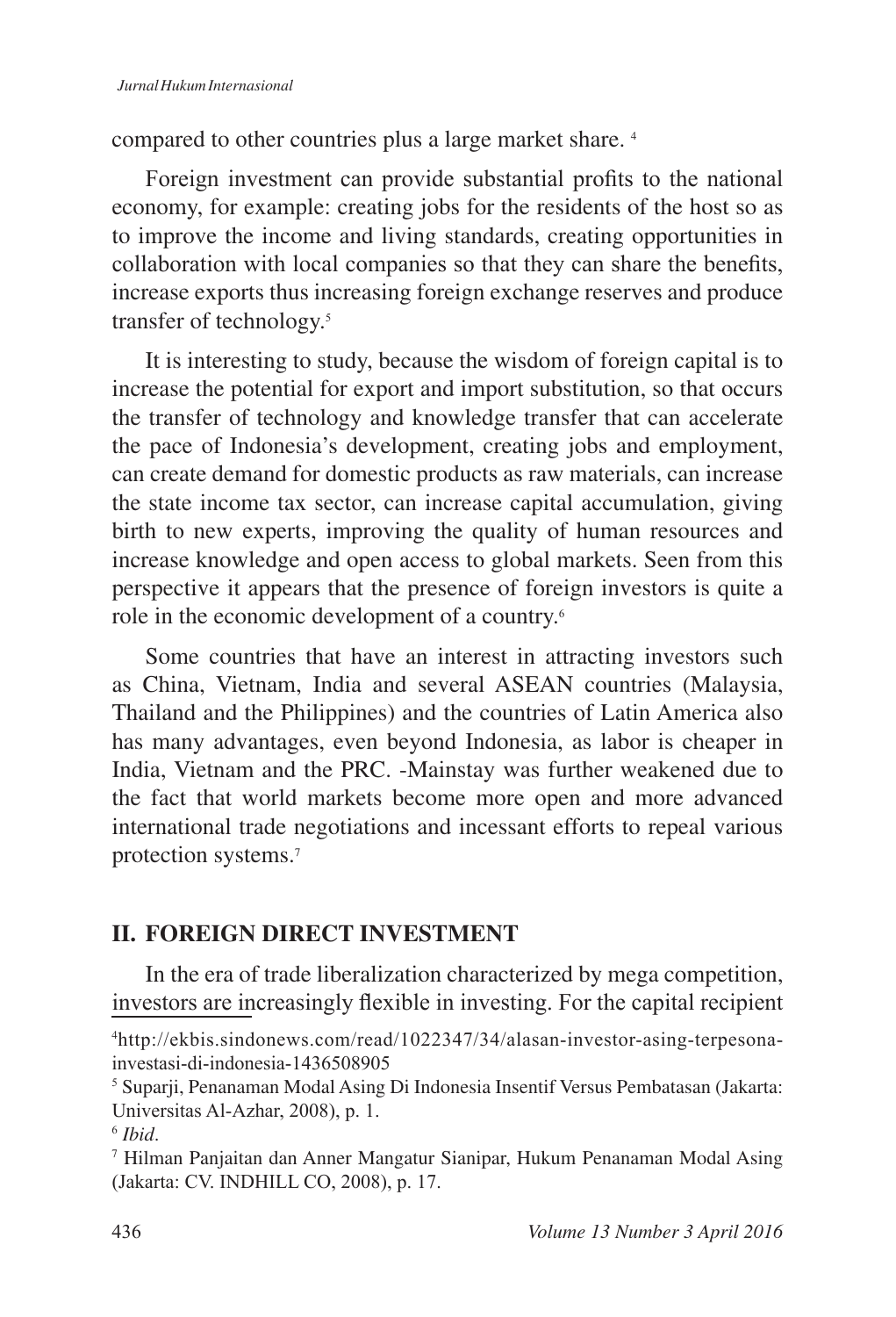compared to other countries plus a large market share. <sup>4</sup>

Foreign investment can provide substantial profits to the national economy, for example: creating jobs for the residents of the host so as to improve the income and living standards, creating opportunities in collaboration with local companies so that they can share the benefits, increase exports thus increasing foreign exchange reserves and produce transfer of technology.

It is interesting to study, because the wisdom of foreign capital is to increase the potential for export and import substitution, so that occurs the transfer of technology and knowledge transfer that can accelerate the pace of Indonesia's development, creating jobs and employment, can create demand for domestic products as raw materials, can increase the state income tax sector, can increase capital accumulation, giving birth to new experts, improving the quality of human resources and increase knowledge and open access to global markets. Seen from this perspective it appears that the presence of foreign investors is quite a role in the economic development of a country.

Some countries that have an interest in attracting investors such as China, Vietnam, India and several ASEAN countries (Malaysia, Thailand and the Philippines) and the countries of Latin America also has many advantages, even beyond Indonesia, as labor is cheaper in India, Vietnam and the PRC. -Mainstay was further weakened due to the fact that world markets become more open and more advanced international trade negotiations and incessant efforts to repeal various protection systems.<sup>7</sup>

## **II. FOREIGN DIRECT INVESTMENT**

In the era of trade liberalization characterized by mega competition, investors are increasingly flexible in investing. For the capital recipient

<sup>&</sup>lt;sup>4</sup>http://ekbis.sindonews.com/read/1022347/34/alasan-investor-asing-terpesonainvestasi-di-indonesia-1436508905

<sup>&</sup>lt;sup>5</sup> Suparji, Penanaman Modal Asing Di Indonesia Insentif Versus Pembatasan (Jakarta: Universitas Al-Azhar, 2008), p. 1.

*Ibid*.

<sup>7</sup> Hilman Panjaitan dan Anner Mangatur Sianipar, Hukum Penanaman Modal Asing (Jakarta: CV. INDHILL CO, 2008), p. 17.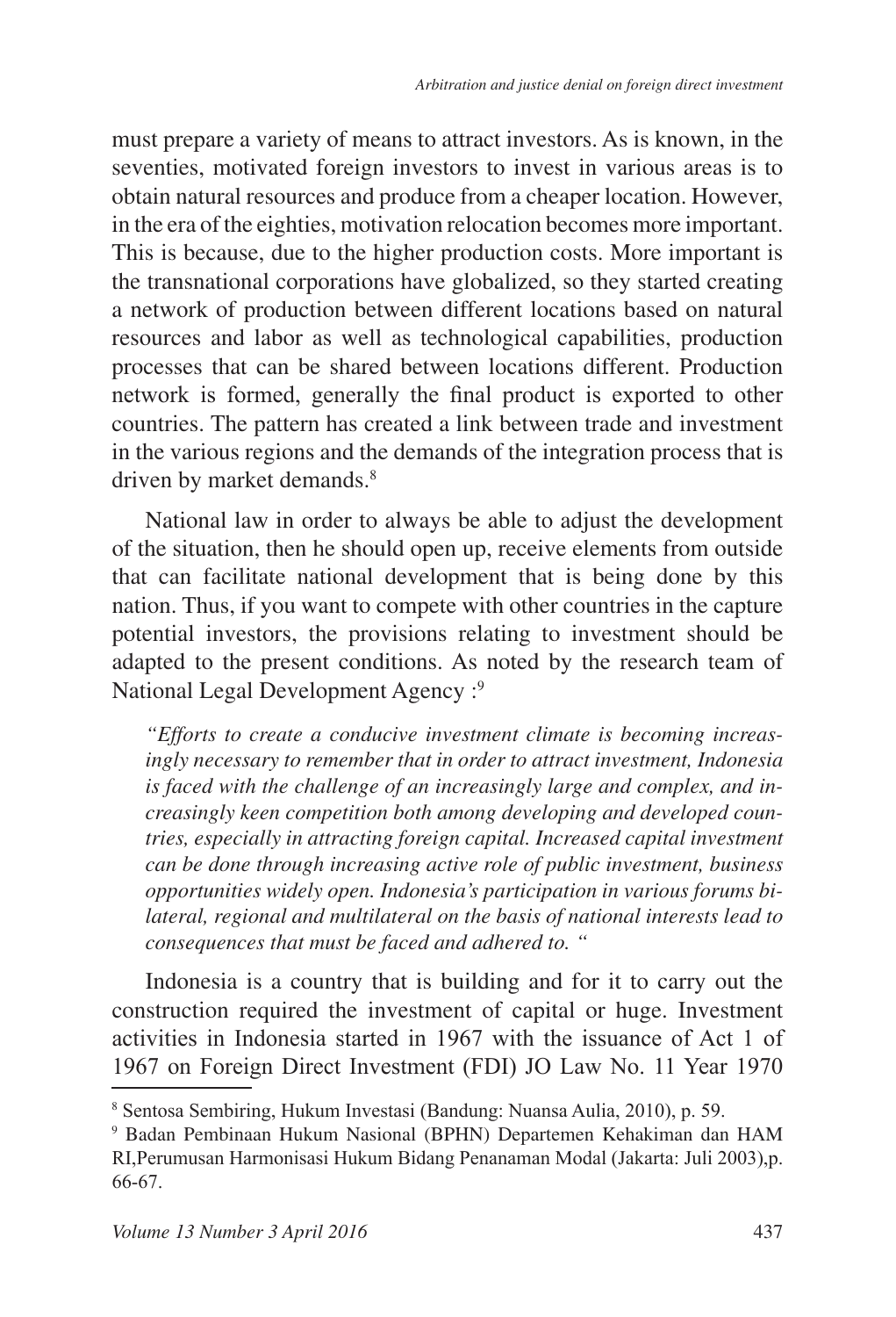must prepare a variety of means to attract investors. As is known, in the seventies, motivated foreign investors to invest in various areas is to obtain natural resources and produce from a cheaper location. However, in the era of the eighties, motivation relocation becomes more important. This is because, due to the higher production costs. More important is the transnational corporations have globalized, so they started creating a network of production between different locations based on natural resources and labor as well as technological capabilities, production processes that can be shared between locations different. Production network is formed, generally the final product is exported to other countries. The pattern has created a link between trade and investment in the various regions and the demands of the integration process that is driven by market demands.<sup>8</sup>

National law in order to always be able to adjust the development of the situation, then he should open up, receive elements from outside that can facilitate national development that is being done by this nation. Thus, if you want to compete with other countries in the capture potential investors, the provisions relating to investment should be adapted to the present conditions. As noted by the research team of National Legal Development Agency :<sup>9</sup>

*"Efforts to create a conducive investment climate is becoming increasingly necessary to remember that in order to attract investment, Indonesia is faced with the challenge of an increasingly large and complex, and increasingly keen competition both among developing and developed countries, especially in attracting foreign capital. Increased capital investment can be done through increasing active role of public investment, business opportunities widely open. Indonesia's participation in various forums bilateral, regional and multilateral on the basis of national interests lead to consequences that must be faced and adhered to. "*

Indonesia is a country that is building and for it to carry out the construction required the investment of capital or huge. Investment activities in Indonesia started in 1967 with the issuance of Act 1 of 1967 on Foreign Direct Investment (FDI) JO Law No. 11 Year 1970

<sup>&</sup>lt;sup>8</sup> Sentosa Sembiring, Hukum Investasi (Bandung: Nuansa Aulia, 2010), p. 59.

<sup>9</sup> Badan Pembinaan Hukum Nasional (BPHN) Departemen Kehakiman dan HAM RI, Perumusan Harmonisasi Hukum Bidang Penanaman Modal (Jakarta: Juli 2003), p. 66-67.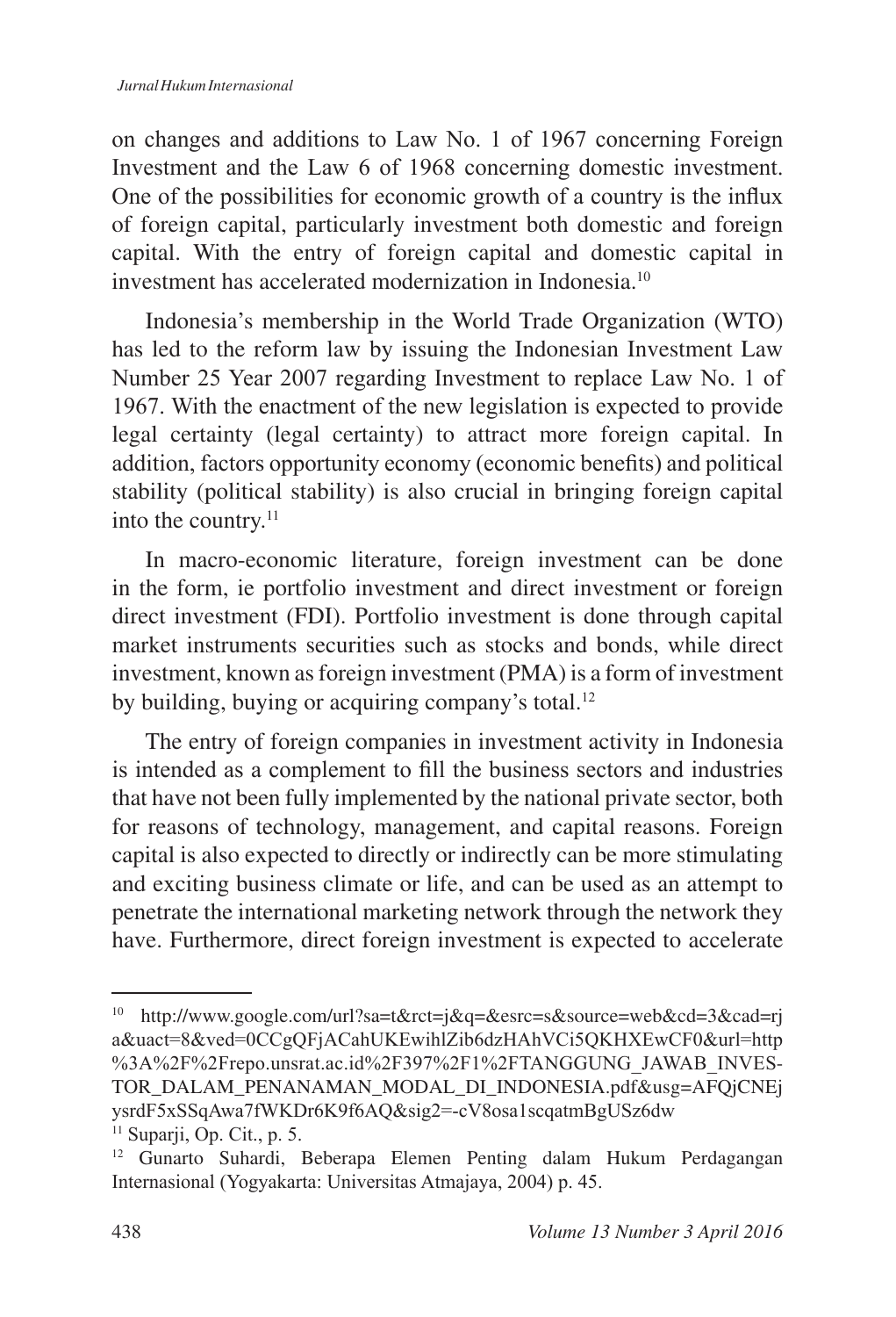on changes and additions to Law No. 1 of 1967 concerning Foreign Investment and the Law 6 of 1968 concerning domestic investment. One of the possibilities for economic growth of a country is the influx of foreign capital, particularly investment both domestic and foreign capital. With the entry of foreign capital and domestic capital in investment has accelerated modernization in Indonesia.<sup>10</sup>

Indonesia's membership in the World Trade Organization (WTO) has led to the reform law by issuing the Indonesian Investment Law Number 25 Year 2007 regarding Investment to replace Law No. 1 of 1967. With the enactment of the new legislation is expected to provide legal certainty (legal certainty) to attract more foreign capital. In addition, factors opportunity economy (economic benefits) and political stability (political stability) is also crucial in bringing foreign capital into the country.<sup>11</sup>

In macro-economic literature, foreign investment can be done in the form, ie portfolio investment and direct investment or foreign direct investment (FDI). Portfolio investment is done through capital market instruments securities such as stocks and bonds, while direct investment, known as foreign investment (PMA) is a form of investment by building, buying or acquiring company's total.<sup>12</sup>

The entry of foreign companies in investment activity in Indonesia is intended as a complement to fill the business sectors and industries that have not been fully implemented by the national private sector, both for reasons of technology, management, and capital reasons. Foreign capital is also expected to directly or indirectly can be more stimulating and exciting business climate or life, and can be used as an attempt to penetrate the international marketing network through the network they have. Furthermore, direct foreign investment is expected to accelerate

<sup>10</sup> http://www.google.com/url?sa=t&rct=j&q=&esrc=s&source=web&cd=3&cad=rj a&uact=8&ved=0CCgQFjACahUKEwihlZib6dzHAhVCi5QKHXEwCF0&url=http %3A%2F%2Frepo.unsrat.ac.id%2F397%2F1%2FTANGGUNG JAWAB INVES-TOR\_DALAM\_PENANAMAN\_MODAL\_DI\_INDONESIA.pdf&usg=AFQjCNEj ysrdF5xSSqAwa7fWKDr6K9f6AQ&sig2=-cV8osa1scqatmBgUSz6dw  $11$  Suparji, Op. Cit., p. 5.

<sup>&</sup>lt;sup>12</sup> Gunarto Suhardi, Beberapa Elemen Penting dalam Hukum Perdagangan Internasional (Yogyakarta: Universitas Atmajaya, 2004) p. 45.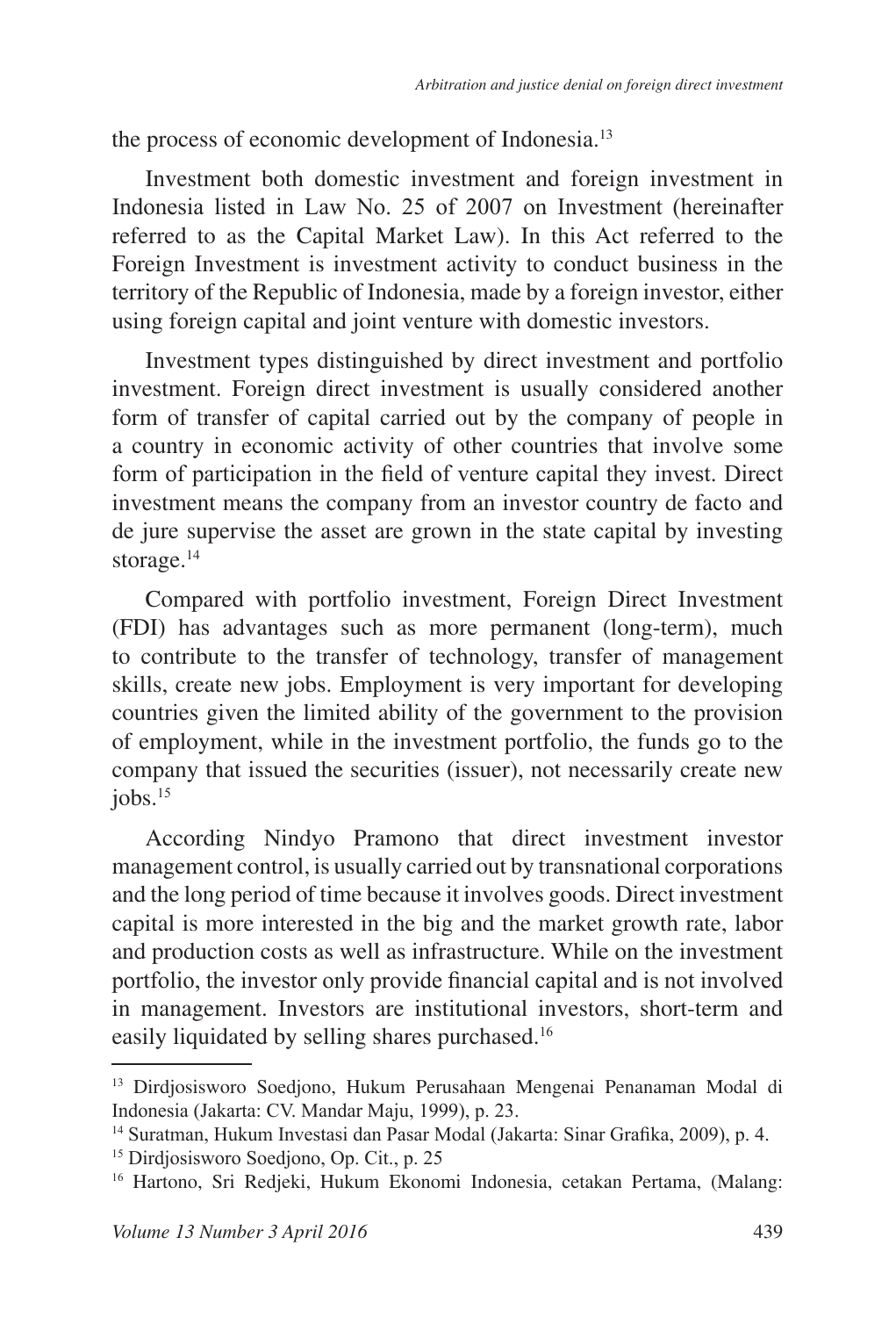the process of economic development of Indonesia.<sup>13</sup>

Investment both domestic investment and foreign investment in Indonesia listed in Law No. 25 of 2007 on Investment (hereinafter referred to as the Capital Market Law). In this Act referred to the Foreign Investment is investment activity to conduct business in the territory of the Republic of Indonesia, made by a foreign investor, either using foreign capital and joint venture with domestic investors.

Investment types distinguished by direct investment and portfolio investment. Foreign direct investment is usually considered another form of transfer of capital carried out by the company of people in a country in economic activity of other countries that involve some form of participation in the field of venture capital they invest. Direct investment means the company from an investor country de facto and de jure supervise the asset are grown in the state capital by investing storage.<sup>14</sup>

Compared with portfolio investment, Foreign Direct Investment (FDI) has advantages such as more permanent (long-term), much to contribute to the transfer of technology, transfer of management skills, create new jobs. Employment is very important for developing countries given the limited ability of the government to the provision of employment, while in the investment portfolio, the funds go to the company that issued the securities (issuer), not necessarily create new  $i$ obs. $15$ 

According Nindyo Pramono that direct investment investor management control, is usually carried out by transnational corporations and the long period of time because it involves goods. Direct investment capital is more interested in the big and the market growth rate, labor and production costs as well as infrastructure. While on the investment portfolio, the investor only provide financial capital and is not involved in management. Investors are institutional investors, short-term and easily liquidated by selling shares purchased.

<sup>&</sup>lt;sup>13</sup> Dirdjosisworo Soedjono, Hukum Perusahaan Mengenai Penanaman Modal di Indonesia (Jakarta: CV. Mandar Maju, 1999), p. 23.

<sup>&</sup>lt;sup>14</sup> Suratman, Hukum Investasi dan Pasar Modal (Jakarta: Sinar Grafika, 2009), p. 4.

<sup>&</sup>lt;sup>15</sup> Dirdjosisworo Soedjono, Op. Cit., p. 25

<sup>&</sup>lt;sup>16</sup> Hartono, Sri Redjeki, Hukum Ekonomi Indonesia, cetakan Pertama, (Malang: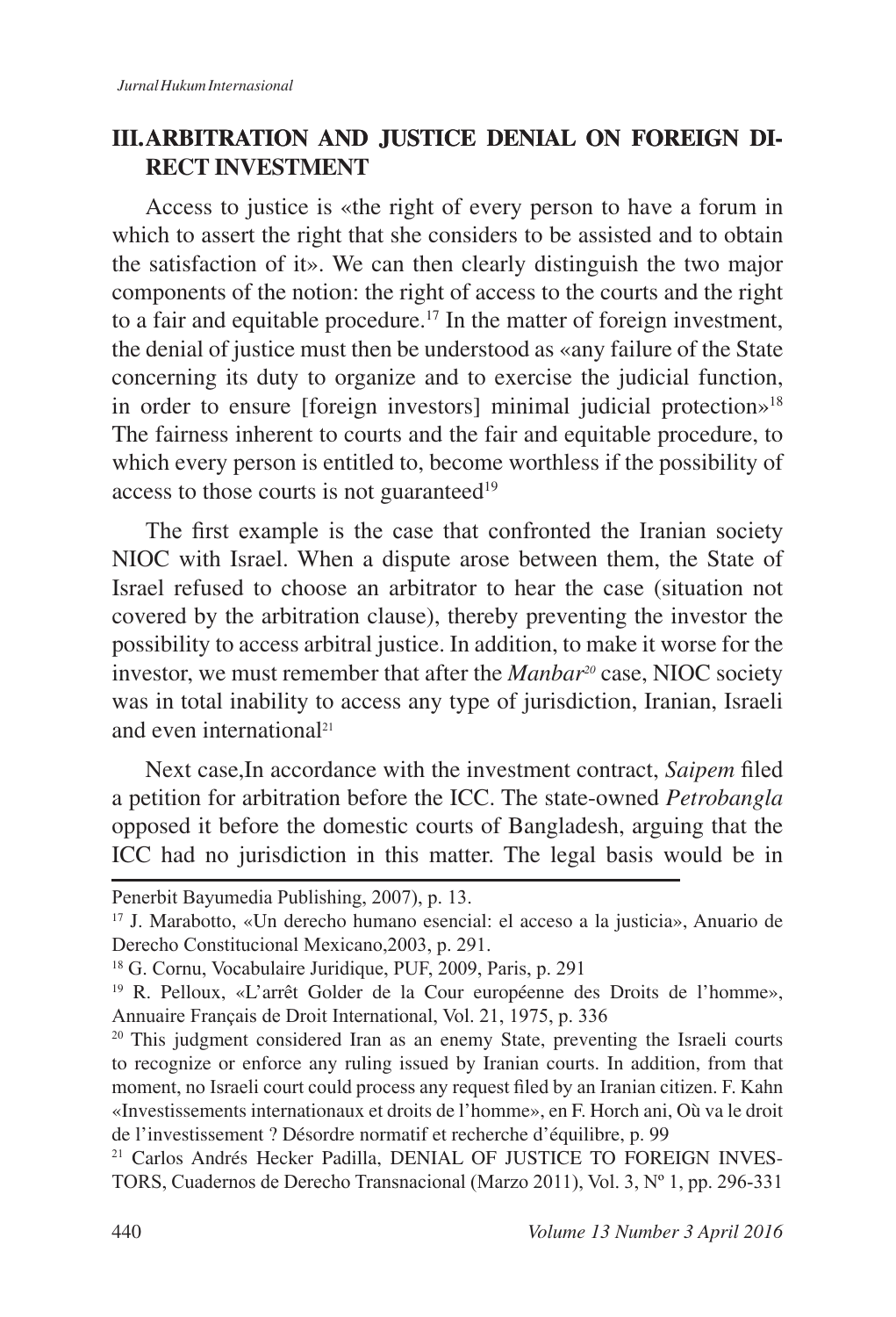## **III. ARBITRATION AND JUSTICE DENIAL ON FOREIGN DI-RECT INVESTMENT**

Access to justice is «the right of every person to have a forum in which to assert the right that she considers to be assisted and to obtain the satisfaction of it». We can then clearly distinguish the two major components of the notion: the right of access to the courts and the right to a fair and equitable procedure.<sup>17</sup> In the matter of foreign investment, the denial of justice must then be understood as «any failure of the State concerning its duty to organize and to exercise the judicial function, in order to ensure [foreign investors] minimal judicial protection»<sup>18</sup> The fairness inherent to courts and the fair and equitable procedure, to which every person is entitled to, become worthless if the possibility of access to those courts is not guaranteed<sup>19</sup>

The first example is the case that confronted the Iranian society NIOC with Israel. When a dispute arose between them, the State of Israel refused to choose an arbitrator to hear the case (situation not covered by the arbitration clause), thereby preventing the investor the possibility to access arbitral justice. In addition, to make it worse for the investor, we must remember that after the *Manbar20* case, NIOC society was in total inability to access any type of jurisdiction, Iranian, Israeli and even international

Next case, In accordance with the investment contract, *Saipem* filed a petition for arbitration before the ICC. The state-owned *Petrobangla*  opposed it before the domestic courts of Bangladesh, arguing that the ICC had no jurisdiction in this matter. The legal basis would be in

Penerbit Bayumedia Publishing, 2007), p. 13.

<sup>17</sup> J. Marabotto, «Un derecho humano esencial: el acceso a la justicia», Anuario de Derecho Constitucional Mexicano, 2003, p. 291.

<sup>&</sup>lt;sup>18</sup> G. Cornu, Vocabulaire Juridique, PUF, 2009, Paris, p. 291

<sup>&</sup>lt;sup>19</sup> R. Pelloux, «L'arrêt Golder de la Cour européenne des Droits de l'homme», Annuaire Français de Droit International, Vol. 21, 1975, p. 336

<sup>&</sup>lt;sup>20</sup> This judgment considered Iran as an enemy State, preventing the Israeli courts to recognize or enforce any ruling issued by Iranian courts. In addition, from that moment, no Israeli court could process any request filed by an Iranian citizen. F. Kahn «Investissements internationaux et droits de l'homme», en F. Horch ani, Où va le droit de l'investissement ? Désordre normatif et recherche d'équilibre, p. 99

<sup>&</sup>lt;sup>21</sup> Carlos Andrés Hecker Padilla, DENIAL OF JUSTICE TO FOREIGN INVES-TORS, Cuadernos de Derecho Transnacional (Marzo 2011), Vol. 3, Nº 1, pp. 296-331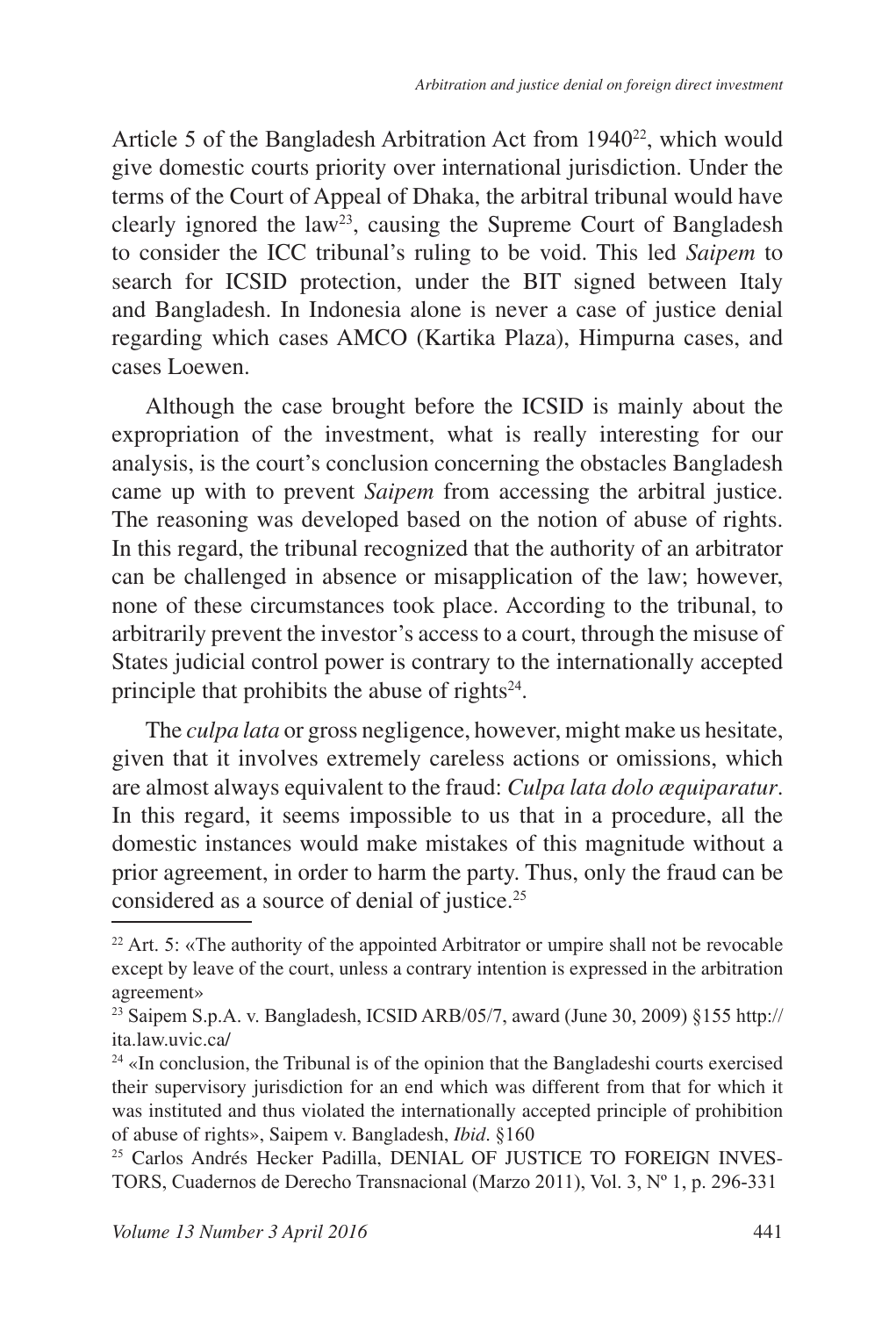Article 5 of the Bangladesh Arbitration Act from  $1940^{22}$ , which would give domestic courts priority over international jurisdiction. Under the terms of the Court of Appeal of Dhaka, the arbitral tribunal would have clearly ignored the law<sup>23</sup>, causing the Supreme Court of Bangladesh to consider the ICC tribunal's ruling to be void. This led *Saipem* to search for ICSID protection, under the BIT signed between Italy and Bangladesh. In Indonesia alone is never a case of justice denial regarding which cases AMCO (Kartika Plaza), Himpurna cases, and cases Loewen.

Although the case brought before the ICSID is mainly about the expropriation of the investment, what is really interesting for our analysis, is the court's conclusion concerning the obstacles Bangladesh came up with to prevent *Saipem* from accessing the arbitral justice. The reasoning was developed based on the notion of abuse of rights. In this regard, the tribunal recognized that the authority of an arbitrator can be challenged in absence or misapplication of the law; however, none of these circumstances took place. According to the tribunal, to arbitrarily prevent the investor's access to a court, through the misuse of States judicial control power is contrary to the internationally accepted principle that prohibits the abuse of rights<sup>24</sup>.

The *culpa lata* or gross negligence, however, might make us hesitate, given that it involves extremely careless actions or omissions, which are almost always equivalent to the fraud: *Culpa lata dolo æquiparatur*. In this regard, it seems impossible to us that in a procedure, all the domestic instances would make mistakes of this magnitude without a prior agreement, in order to harm the party. Thus, only the fraud can be considered as a source of denial of justice.

 $22$  Art. 5: «The authority of the appointed Arbitrator or umpire shall not be revocable except by leave of the court, unless a contrary intention is expressed in the arbitration agreement»

<sup>&</sup>lt;sup>23</sup> Saipem S.p.A. v. Bangladesh, ICSID ARB/05/7, award (June 30, 2009) §155 http:// ita.law.uvic.ca/

<sup>&</sup>lt;sup>24</sup> «In conclusion, the Tribunal is of the opinion that the Bangladeshi courts exercised their supervisory jurisdiction for an end which was different from that for which it was instituted and thus violated the internationally accepted principle of prohibition of abuse of rights», Saipem v. Bangladesh, *Ibid.* §160

<sup>&</sup>lt;sup>25</sup> Carlos Andrés Hecker Padilla, DENIAL OF JUSTICE TO FOREIGN INVES-TORS, Cuadernos de Derecho Transnacional (Marzo 2011), Vol. 3, Nº 1, p. 296-331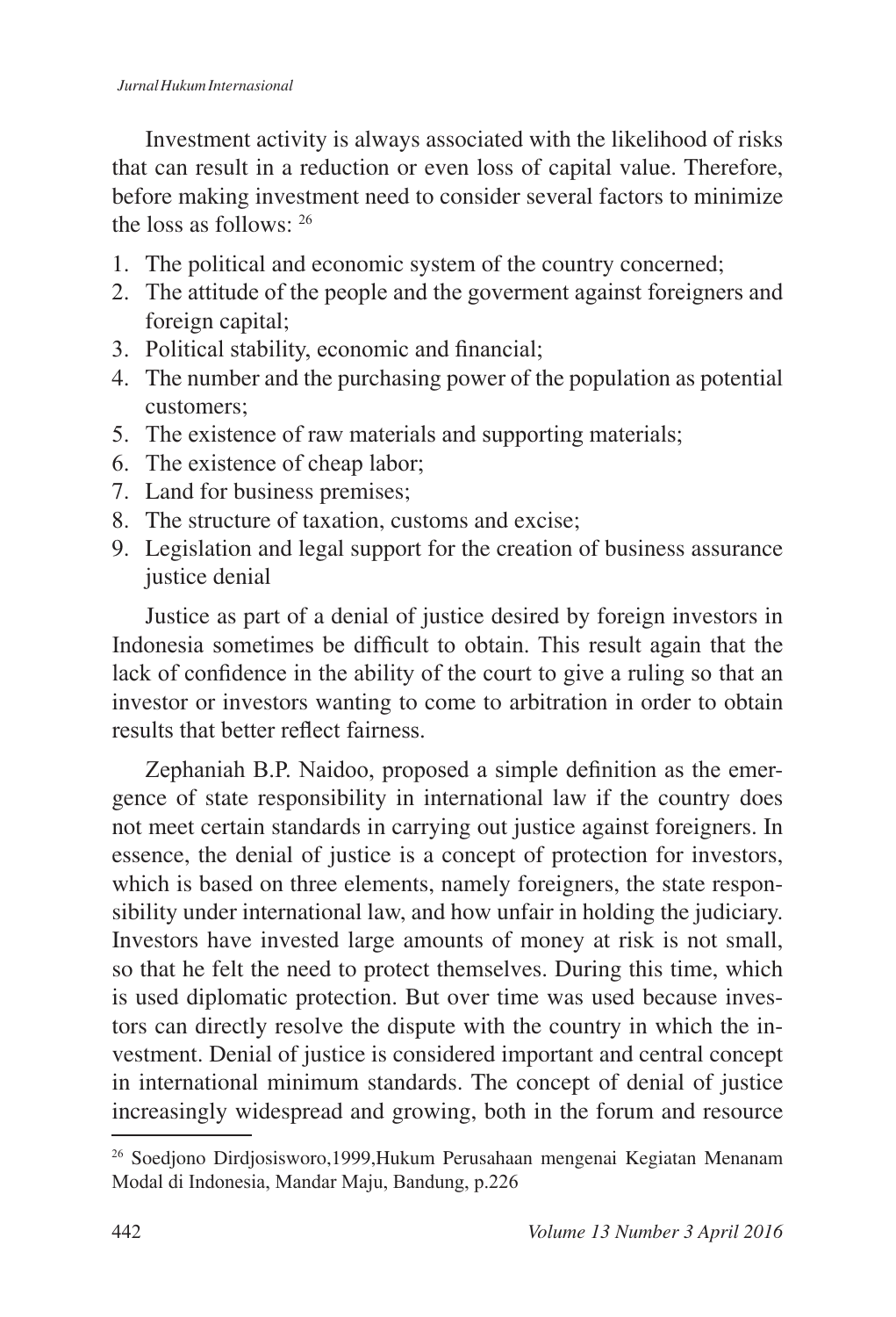Investment activity is always associated with the likelihood of risks that can result in a reduction or even loss of capital value. Therefore, before making investment need to consider several factors to minimize the loss as follows:

- 1. The political and economic system of the country concerned;
- 2. The attitude of the people and the governent against foreigners and foreign capital;
- 3. Political stability, economic and financial;
- 4. The number and the purchasing power of the population as potential customers;
- 5. The existence of raw materials and supporting materials;
- 6. The existence of cheap labor;
- 7. Land for business premises;
- 8. The structure of taxation, customs and excise;
- 9. Legislation and legal support for the creation of business assurance justice denial

Justice as part of a denial of justice desired by foreign investors in Indonesia sometimes be difficult to obtain. This result again that the lack of confidence in the ability of the court to give a ruling so that an investor or investors wanting to come to arbitration in order to obtain results that better reflect fairness

Zephaniah B.P. Naidoo, proposed a simple definition as the emergence of state responsibility in international law if the country does not meet certain standards in carrying out justice against foreigners. In essence, the denial of justice is a concept of protection for investors, which is based on three elements, namely foreigners, the state responsibility under international law, and how unfair in holding the judiciary. Investors have invested large amounts of money at risk is not small, so that he felt the need to protect themselves. During this time, which is used diplomatic protection. But over time was used because investors can directly resolve the dispute with the country in which the investment. Denial of justice is considered important and central concept in international minimum standards. The concept of denial of justice increasingly widespread and growing, both in the forum and resource

<sup>&</sup>lt;sup>26</sup> Soedjono Dirdjosisworo,1999,Hukum Perusahaan mengenai Kegiatan Menanam Modal di Indonesia, Mandar Maju, Bandung, p.226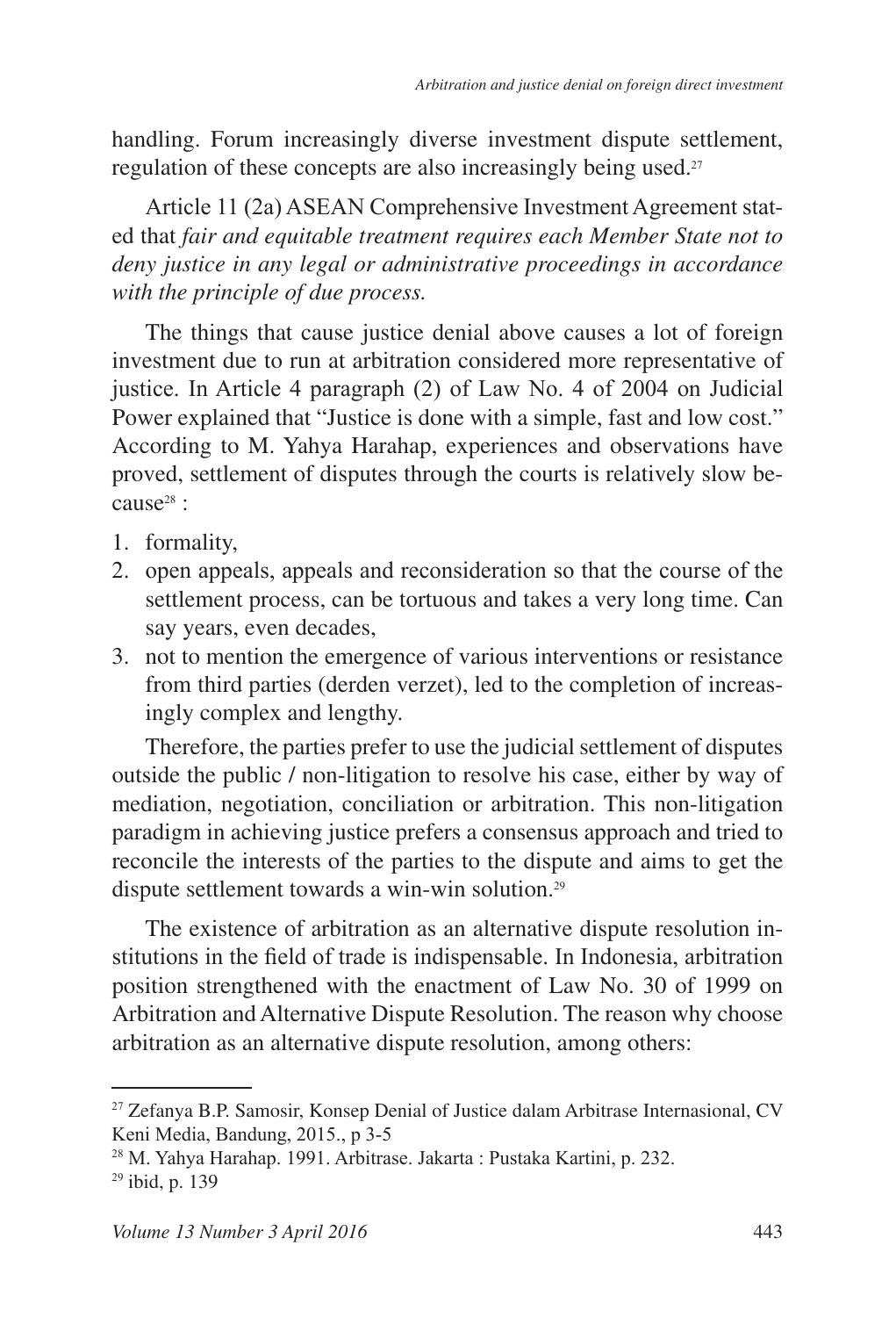handling. Forum increasingly diverse investment dispute settlement, regulation of these concepts are also increasingly being used.

Article 11 (2a) ASEAN Comprehensive Investment Agreement stated that *fair and equitable treatment requires each Member State not to deny justice in any legal or administrative proceedings in accordance with the principle of due process.*

The things that cause justice denial above causes a lot of foreign investment due to run at arbitration considered more representative of justice. In Article 4 paragraph  $(2)$  of Law No. 4 of 2004 on Judicial Power explained that "Justice is done with a simple, fast and low cost." According to M. Yahya Harahap, experiences and observations have proved, settlement of disputes through the courts is relatively slow because<sup>28</sup>:

- 1. formality,
- 2. open appeals, appeals and reconsideration so that the course of the settlement process, can be tortuous and takes a very long time. Can say years, even decades,
- 3. not to mention the emergence of various interventions or resistance from third parties (derden verzet), led to the completion of increasingly complex and lengthy.

Therefore, the parties prefer to use the judicial settlement of disputes outside the public / non-litigation to resolve his case, either by way of mediation, negotiation, conciliation or arbitration. This non-litigation paradigm in achieving justice prefers a consensus approach and tried to reconcile the interests of the parties to the dispute and aims to get the dispute settlement towards a win-win solution.

The existence of arbitration as an alternative dispute resolution institutions in the field of trade is indispensable. In Indonesia, arbitration position strengthened with the enactment of Law No. 30 of 1999 on Arbitration and Alternative Dispute Resolution. The reason why choose arbitration as an alternative dispute resolution, among others:

<sup>&</sup>lt;sup>27</sup> Zefanya B.P. Samosir, Konsep Denial of Justice dalam Arbitrase Internasional, CV Keni Media, Bandung, 2015., p 3-5

<sup>&</sup>lt;sup>28</sup> M. Yahya Harahap. 1991. Arbitrase. Jakarta: Pustaka Kartini, p. 232.  $29$  ibid, p. 139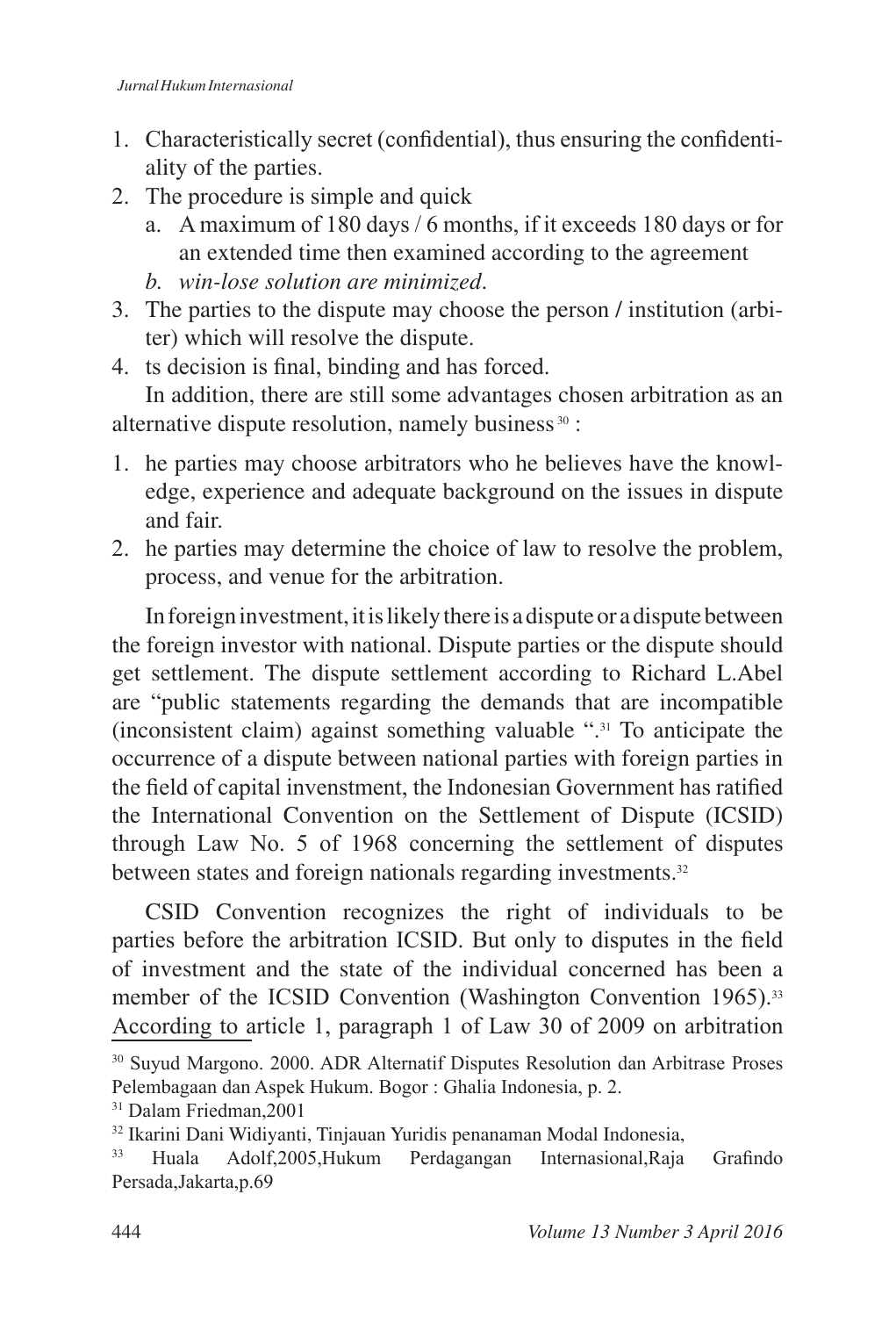- 1. Characteristically secret (confidential), thus ensuring the confidentiality of the parties.
- 2. The procedure is simple and quick
	- a. A maximum of 180 days  $/6$  months, if it exceeds 180 days or for an extended time then examined according to the agreement
	- *b. win-lose solution are minimized*.
- 3. The parties to the dispute may choose the person / institution (arbiter) which will resolve the dispute.
- 4. ts decision is final, binding and has forced. In addition, there are still some advantages chosen arbitration as an alternative dispute resolution, namely business 30 :
- 1. he parties may choose arbitrators who he believes have the knowledge, experience and adequate background on the issues in dispute and fair.
- 2. he parties may determine the choice of law to resolve the problem, process, and venue for the arbitration.

In foreign investment, it is likely there is a dispute or a dispute between the foreign investor with national. Dispute parties or the dispute should get settlement. The dispute settlement according to Richard L.Abel are "public statements regarding the demands that are incompatible (inconsistent claim) against something valuable ".31 To anticipate the occurrence of a dispute between national parties with foreign parties in the field of capital invenstment, the Indonesian Government has ratified the International Convention on the Settlement of Dispute (ICSID) through Law No. 5 of 1968 concerning the settlement of disputes between states and foreign nationals regarding investments.

CSID Convention recognizes the right of individuals to be parties before the arbitration ICSID. But only to disputes in the field of investment and the state of the individual concerned has been a member of the ICSID Convention (Washington Convention 1965).<sup>33</sup> According to article 1, paragraph 1 of Law 30 of 2009 on arbitration

<sup>&</sup>lt;sup>30</sup> Suyud Margono. 2000. ADR Alternatif Disputes Resolution dan Arbitrase Proses Pelembagaan dan Aspek Hukum. Bogor: Ghalia Indonesia, p. 2.

<sup>&</sup>lt;sup>31</sup> Dalam Friedman, 2001

<sup>&</sup>lt;sup>32</sup> Ikarini Dani Widiyanti, Tinjauan Yuridis penanaman Modal Indonesia,

Huala Adolf,2005,Hukum Perdagangan Internasional,Raja Grafindo Persada, Jakarta, p.69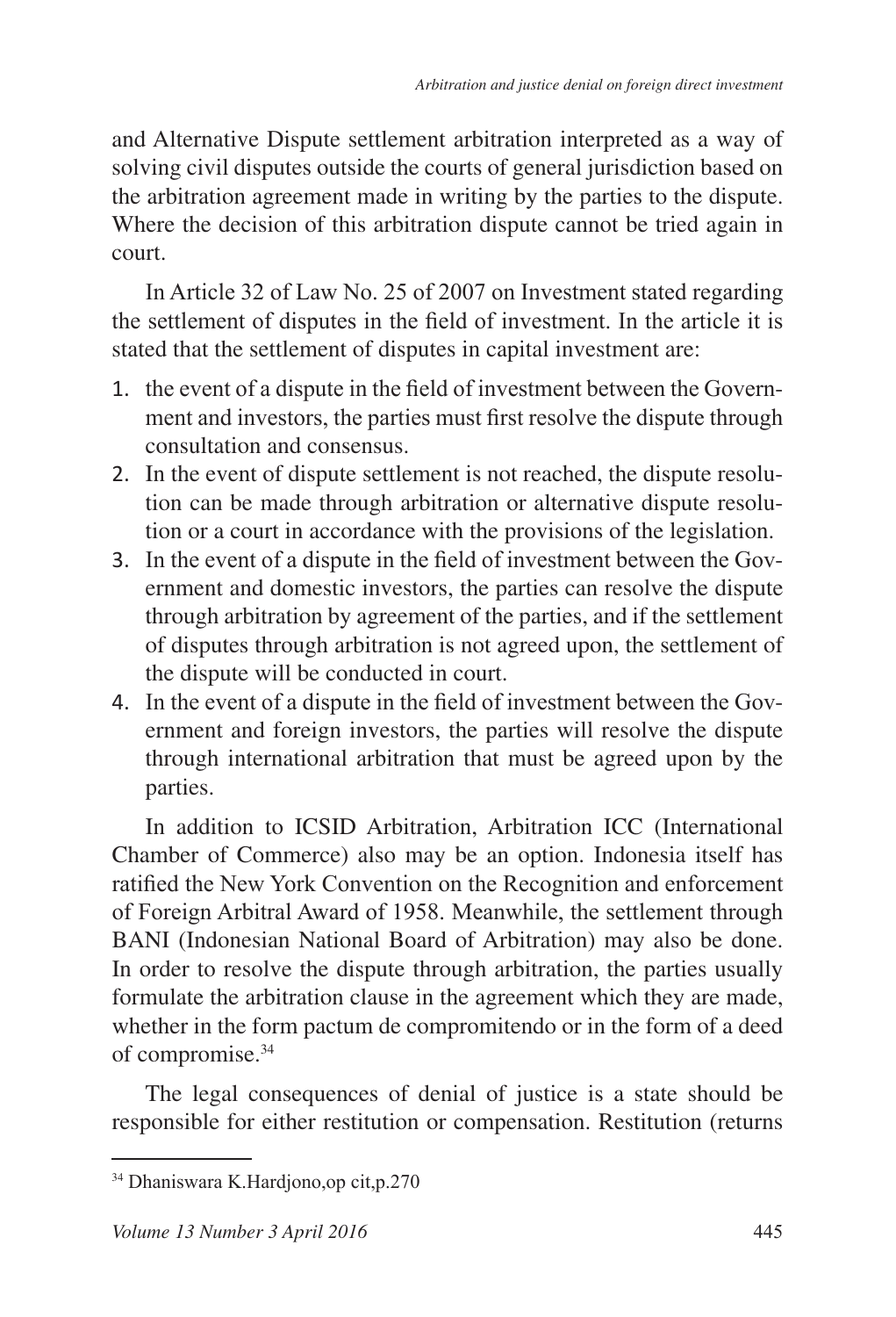and Alternative Dispute settlement arbitration interpreted as a way of solving civil disputes outside the courts of general jurisdiction based on the arbitration agreement made in writing by the parties to the dispute. Where the decision of this arbitration dispute cannot be tried again in court.

In Article 32 of Law No. 25 of 2007 on Investment stated regarding the settlement of disputes in the field of investment. In the article it is stated that the settlement of disputes in capital investment are:

- 1. the event of a dispute in the field of investment between the Government and investors, the parties must first resolve the dispute through consultation and consensus.
- 2. In the event of dispute settlement is not reached, the dispute resolution can be made through arbitration or alternative dispute resolution or a court in accordance with the provisions of the legislation.
- 3. In the event of a dispute in the field of investment between the Government and domestic investors, the parties can resolve the dispute through arbitration by agreement of the parties, and if the settlement of disputes through arbitration is not agreed upon, the settlement of the dispute will be conducted in court.
- 4. In the event of a dispute in the field of investment between the Government and foreign investors, the parties will resolve the dispute through international arbitration that must be agreed upon by the parties.

In addition to ICSID Arbitration, Arbitration ICC (International Chamber of Commerce) also may be an option. Indonesia itself has ratified the New York Convention on the Recognition and enforcement of Foreign Arbitral Award of 1958. Meanwhile, the settlement through BANI (Indonesian National Board of Arbitration) may also be done. In order to resolve the dispute through arbitration, the parties usually formulate the arbitration clause in the agreement which they are made, whether in the form pactum de compromitendo or in the form of a deed of compromise.<sup>34</sup>

The legal consequences of denial of justice is a state should be responsible for either restitution or compensation. Restitution (returns

<sup>34</sup> Dhaniswara K.Hardjono, op cit, p.270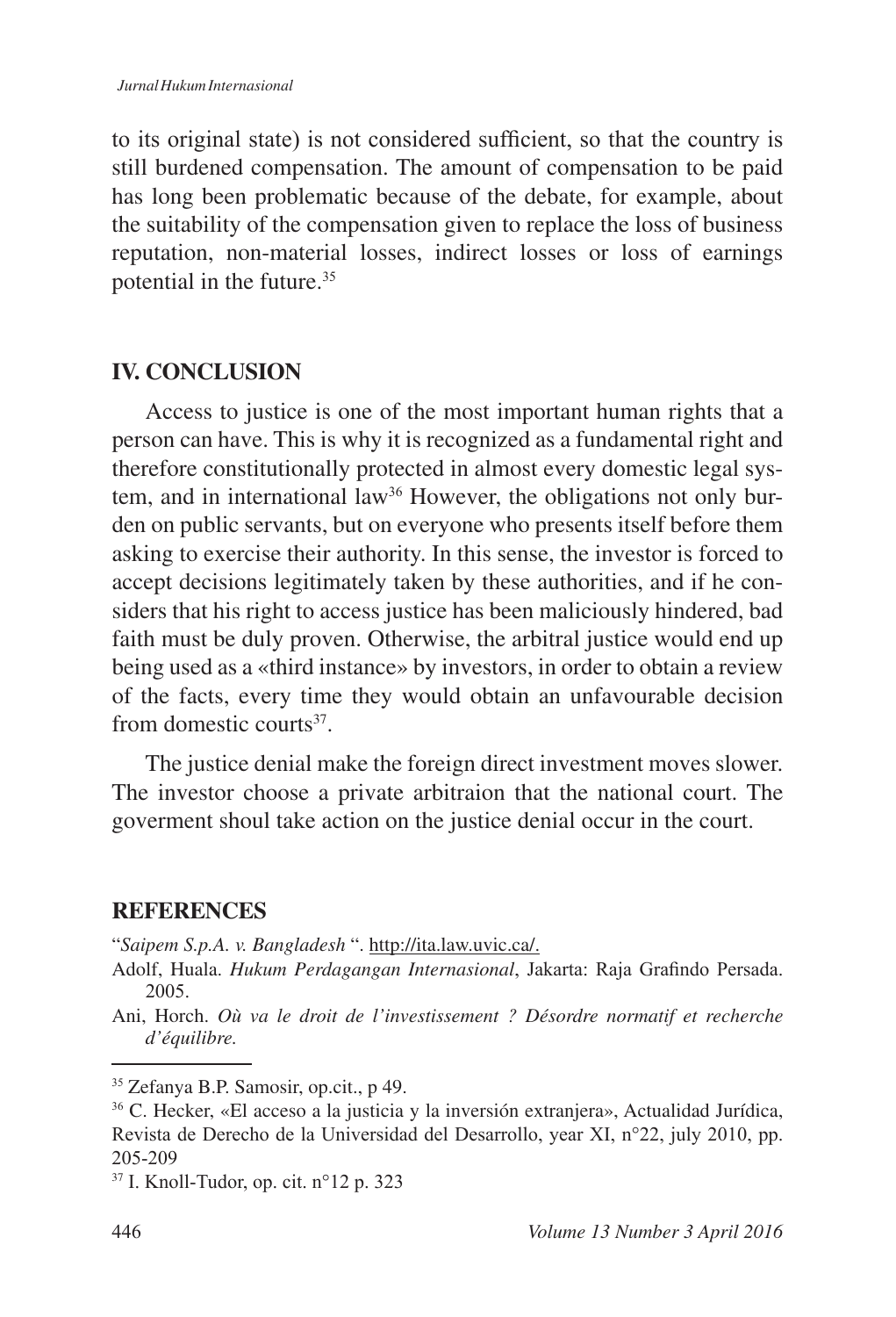to its original state) is not considered sufficient, so that the country is still burdened compensation. The amount of compensation to be paid has long been problematic because of the debate, for example, about the suitability of the compensation given to replace the loss of business reputation, non-material losses, indirect losses or loss of earnings potential in the future.

## **IV. CONCLUSION**

Access to justice is one of the most important human rights that a person can have. This is why it is recognized as a fundamental right and therefore constitutionally protected in almost every domestic legal system, and in international law<sup>36</sup> However, the obligations not only burden on public servants, but on everyone who presents itself before them asking to exercise their authority. In this sense, the investor is forced to accept decisions legitimately taken by these authorities, and if he considers that his right to access justice has been maliciously hindered, bad faith must be duly proven. Otherwise, the arbitral justice would end up being used as a «third instance» by investors, in order to obtain a review of the facts, every time they would obtain an unfavourable decision from domestic courts<sup>37</sup>.

The justice denial make the foreign direct investment moves slower. The investor choose a private arbitraion that the national court. The goverment shoul take action on the justice denial occur in the court.

## **REFERENCES**

"*Saipem S.p.A. v. Bangladesh* ". http://ita.law.uvic.ca/.

Adolf, Huala. *Hukum Perdagangan Internasional*, Jakarta: Raja Grafindo Persada. 2005.

Ani, Horch. *Où va le droit de l'investissement ? Désordre normatif et recherche d'équilibre.*

<sup>&</sup>lt;sup>35</sup> Zefanya B.P. Samosir, op.cit., p 49.

C. Hecker, «El acceso a la justicia y la inversión extranjera», Actualidad Jurídica, Revista de Derecho de la Universidad del Desarrollo, year XI, n°22, july 2010, pp. 205-209

 $37$  I. Knoll-Tudor, op. cit.  $n^{\circ}12$  p. 323